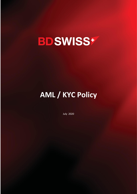# **BDSWISS+**

# **AML / KYC Policy**

July 2020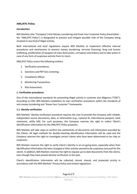# **AML/KYC Policy**

### **Introduction**

BDS Markets (the "Company") Anti-Money Laundering and Know Your Customer Policy (hereinafter the "AML/KYC Policy") is designated to prevent and mitigate possible risks of the Company being involved in any kind of illegal activity.

Both international and local regulations require BDS Markets to implement effective internal procedures and mechanisms to prevent money laundering, terrorist financing, drug and human trafficking, proliferation of weapons of mass destruction, corruption and bribery and to take action in case of any form of suspicious activity from its Users.

AML/KYC Policy covers the following matters:

- 1. Verification procedures.
- 2. Sanctions and PEP lists screening.
- 3. Compliance Officer.
- 4. Monitoring Transactions.
- 5. Risk Assessment.

#### **1. Verification procedures**

One of the international standards for preventing illegal activity is customer due diligence ("CDD"). According to CDD, BDS Markets establishes its own verification procedures within the standards of anti-money laundering and "Know Your Customer" frameworks.

#### **1.1. Identity verification**

BDS Markets' identity verification procedure requires the User to provide the Company with reliable, independent source documents, data, or information (e.g., national ID, international passport, bank statement, utility bill). For such purposes, the Company reserves the right to collect Client's identification information for the AML/KYC Policy purposes.

BDS Markets will take steps to confirm the authenticity of documents and information provided by the Clients. All legal methods for double-checking identification information will be used and the Company reserves the right to investigate certain clients who have been determined to be risky or suspicious.

BDS Markets reserves the right to verify Client's identity in an on-going basis, especially when their identification information has been changed or their activity seemed to be suspicious (unusual for the client). In addition, BDS Markets reserves the right to request up-to-date documents from the clients, even though they have passed identity verification in the past.

Client's identification information will be collected, stored, shared, and protected strictly in accordance with the BDS Markets' Privacy Policy and related regulations.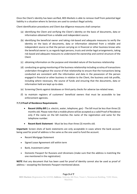Once the Client's identity has been verified, BDS Markets is able to remove itself from potential legal liability in a situation where its Services are used to conduct illegal activity.

Client identification procedures and Client due diligence measures shall comprise:

- (a) identifying the Client and verifying the Client's identity on the basis of documents, data or information obtained from a reliable and independent source.
- (b) identifying the beneficial owner and taking risk-based and adequate measures to verify the identity on the basis of documents, data or information obtained from a reliable and independent source so that the person carrying on in financial or other business knows who the beneficial owner is; as regards legal persons, trusts and similar legal arrangements, taking risk based and adequate measures to understand the ownership and control structure of the Client
- (c) obtaining information on the purpose and intended nature of the business relationship
- (d) conducting on-going monitoring of the business relationship including scrutiny of transactions undertaken throughout the course of that relationship to ensure that the transactions being conducted are consistent with the information and data in the possession of the person engaged in financial or other business in relation to the Client, the business and risk profile, including where necessary, the source of funds and ensuring that the documents, data or information held are kept up-to-date.
- (e) Screening Clients against databases or third-party checks for adverse tax-related news.
- (f) to maintain registers of customers' beneficial owners that must be accessible to law enforcement agencies.

# **7.7.3 Proof of Residence Requirements**

- **Recent Utility Bill** (i.e. electric, water, telephone, gas) The bill must be less than three (3) months old. Please note that a mobile phone will be accepted as a valid Proof of Residence only if the name on the bill matches the name of the registration and same for the telephone number.
- **Recent Bank Statement** Must be less than three (3) months old.

**Important:** Screen shots of bank statements are only acceptable in cases where the bank account being used for proof of address is the same as the one used to fund the account.

- Recent Mortgage Statement
- Signed Lease Agreement still within term
- Bank, Investment Letter
- Domestic Passport for Russians and Ukrainians (make sure that the address is matching the one mentioned in the registration)

**NOTE** that any document that has been used for proof of identity cannot also be used as proof of address – excepting the Domestic Passport mentioned above.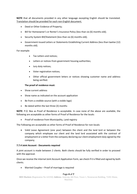**NOTE** that all documents provided in any other language excepting English should be translated. Translation should be provided for each non-English document.

- Deed or Other Evidence of Property;
- Bill for Homeowner's or Renter's Insurance Policy (less than six (6) months old);
- Security System Bill/Statement (less than six (6) months old);
- Government-Issued Letters or Statements Establishing Current Address (less than twelve (12) months old).

# For example:

- Tax Letters and notices;
- Letters or notices from government housing authorities;
- Jury duty notices;
- Voter registration notices;
- Other official government letters or notices showing customer name and address being verified.

#### **The proof of residence must:**

- Show current address
- Show name as indicated on the account application
- Be from a credible source (with a visible logo)
- Be dated within the last three (3) months

**NOTE**: P.O. Box as Proof of Residence is acceptable. In case none of the above are available, the following are acceptable as other forms of Proof of Residence for the locals:

• Proof of residence from Municipality, Land registry

The Following are acceptable as other forms of Proof of Residence for non-locals:

• Valid Lease Agreement (one year) between the client and the land lord or between the company which employee our client and the land lord associated with the contract of employment or a letter from the company declaring our client employment duly signed by the company.

# **7.7.4 Joint Account - Documents required**

A joint account is made between 2 clients. Both clients should be fully verified in order to proceed with the approval.

Once we receive the internal Joint Account Application Form, we check if it is filled and signed by both clients.

• Married Couples – Proof of marriage is required

#### Page **4** of **7**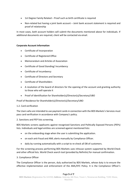- 1st Degree Family Related Proof such as birth certificate is required
- Non-related but having a joint bank account Joint bank account statement is required and proof of relationship

In most cases, both account holders will submit the documents mentioned above for individuals. If additional documents are required, client will be contacted via email.

# **Corporate Account Information**

- Certificate of Incorporation
- Certificate of Registered Office
- Memorandum and Articles of Association
- Certificate of Good Standing/ Incumbency
- Certificate of Incumbency
- Certificate of Directors and Secretary
- Certificate of Shareholders
- A resolution of the board of directors for the opening of the account and granting authority to those who will operate it
- Proof of Identification for Shareholder(s)/Director(s)/Secretary/UBO

Proof of Residence for Shareholder(s)/Director(s)/Secretary/UBO

# 1.2. Card verification

The Users who are intended to use payment cards in connection with the BDS Markets's Services must pass card verification in accordance with Company's policy.

2. Sanctions and PEP lists screening.

BDS Markets screens applicants against recognised Sanctions and Politically Exposed Persons (PEPs) lists. Individuals and legal entities are screened against mentioned lists:

- on the onboarding stage when the user is submitting the application.
- on each anti-fraud and AML alerts manually by Compliance Officer.
- daily by running automatically with a script to re-check all DB of customers.

For the screening process performing BDS Markets uses inhouse system supported by World-Check and other official lists. World Check search tool (provided by Refinitiv) for manual confirmation.

# 3. Compliance Officer

The Compliance Officer is the person, duly authorized by BDS Markets, whose duty is to ensure the effective implementation and enforcement of the AML/KYC Policy. It is the Compliance Officer's

#### Page **5** of **7**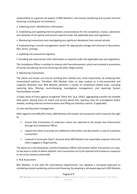responsibility to supervise all aspects of BDS Markets's anti-money laundering and counter-terrorist financing, including but not limited to:

a. Collecting Users' identification information.

b. Establishing and updating internal policies and procedures for the completion, review, submission and retention of all reports and records required under the applicable laws and regulations.

c. Monitoring transactions and investigating any significant deviations from normal activity.

d. Implementing a records management system for appropriate storage and retrieval of documents, files, forms, and logs.

e. Updating risk assessment regularly.

f. Providing law enforcement with information as required under the applicable laws and regulations.

The Compliance Officer is entitled to interact with law enforcement, which are involved in prevention of money laundering, terrorist financing and other illegal activity.

4. Monitoring Transactions

The clients are known not only by verifying their identity but, more importantly, by analysing their transactional patterns. Therefore, BDS Markets relies on data analysis as a risk-assessment and suspicion detection tool. BDS Markets performs a variety of compliance-related tasks, including capturing data, filtering, record-keeping, investigation management, and reporting. System functionalities include:

1) Daily check of Users against recognized "black lists" (e.g. OFAC), aggregating transfers by multiple data points, placing Users on watch and service denial lists, opening cases for investigation where needed, sending internal communications and filling out statutory reports, if applicable;

2) Case and document management.

With regard to the AML/KYC Policy, BDS Markets will monitor all transactions and it reserves the right to:

- ensure that transactions of suspicious nature are reported to the proper law enforcement through the Compliance Officer.
- request the client to provide any additional information and documents in case of suspicious transactions.
- suspend or terminate Client's Account when BDS Markets has reasonably suspicion that such client engaged in illegal activity.

The above list is not exhaustive, and the Compliance Officer will monitor clients' transactions on a dayto-day basis in order to define whether such transactions are to be reported and treated as suspicious or are to be treated as *bona fide*.

5. Risk Assessment

BDS Markets, in line with the international requirements, has adopted a risk-based approach to combating money laundering and terrorist financing. By adopting a risk-based approach, BDS Markets

#### Page **6** of **7**